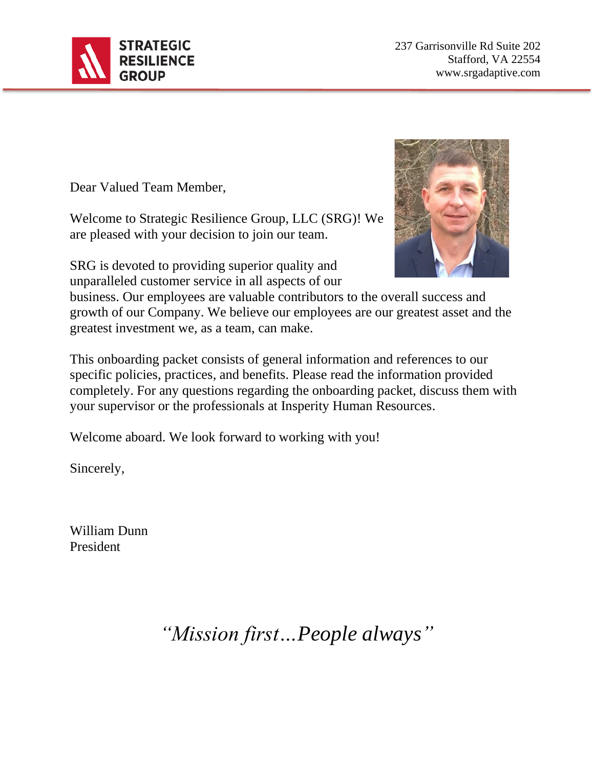

237 Garrisonville Rd Suite 202 Stafford, VA 22554 www.srgadaptive.com

Dear Valued Team Member,

Welcome to Strategic Resilience Group, LLC (SRG)! We are pleased with your decision to join our team.

SRG is devoted to providing superior quality and unparalleled customer service in all aspects of our



business. Our employees are valuable contributors to the overall success and growth of our Company. We believe our employees are our greatest asset and the greatest investment we, as a team, can make.

This onboarding packet consists of general information and references to our specific policies, practices, and benefits. Please read the information provided completely. For any questions regarding the onboarding packet, discuss them with your supervisor or the professionals at Insperity Human Resources.

Welcome aboard. We look forward to working with you!

Sincerely,

William Dunn President

*"Mission first…People always"*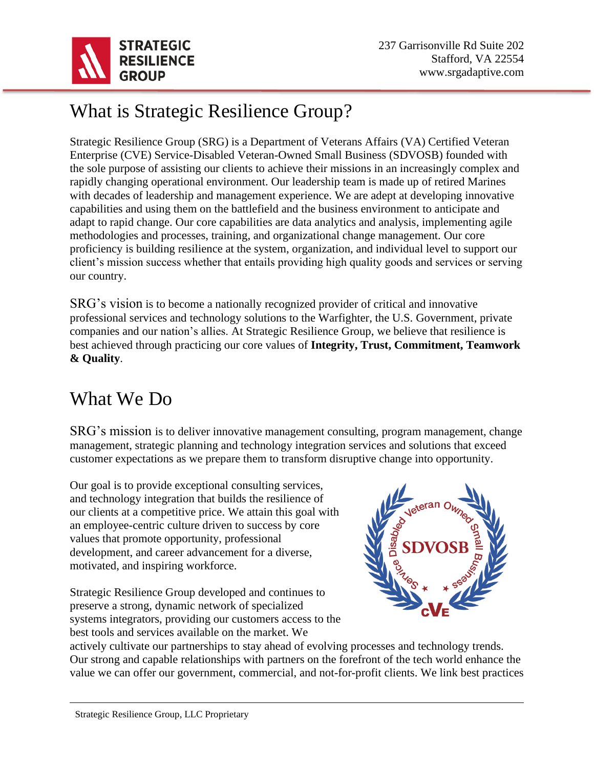

# What is Strategic Resilience Group?

Strategic Resilience Group (SRG) is a Department of Veterans Affairs (VA) Certified Veteran Enterprise (CVE) Service-Disabled Veteran-Owned Small Business (SDVOSB) founded with the sole purpose of assisting our clients to achieve their missions in an increasingly complex and rapidly changing operational environment. Our leadership team is made up of retired Marines with decades of leadership and management experience. We are adept at developing innovative capabilities and using them on the battlefield and the business environment to anticipate and adapt to rapid change. Our core capabilities are data analytics and analysis, implementing agile methodologies and processes, training, and organizational change management. Our core proficiency is building resilience at the system, organization, and individual level to support our client's mission success whether that entails providing high quality goods and services or serving our country.

SRG's vision is to become a nationally recognized provider of critical and innovative professional services and technology solutions to the Warfighter, the U.S. Government, private companies and our nation's allies. At Strategic Resilience Group, we believe that resilience is best achieved through practicing our core values of **Integrity, Trust, Commitment, Teamwork & Quality**.

## What We Do

SRG's mission is to deliver innovative management consulting, program management, change management, strategic planning and technology integration services and solutions that exceed customer expectations as we prepare them to transform disruptive change into opportunity.

Our goal is to provide exceptional consulting services, and technology integration that builds the resilience of our clients at a competitive price. We attain this goal with an employee-centric culture driven to success by core values that promote opportunity, professional development, and career advancement for a diverse, motivated, and inspiring workforce.

Strategic Resilience Group developed and continues to preserve a strong, dynamic network of specialized systems integrators, providing our customers access to the best tools and services available on the market. We



actively cultivate our partnerships to stay ahead of evolving processes and technology trends. Our strong and capable relationships with partners on the forefront of the tech world enhance the value we can offer our government, commercial, and not-for-profit clients. We link best practices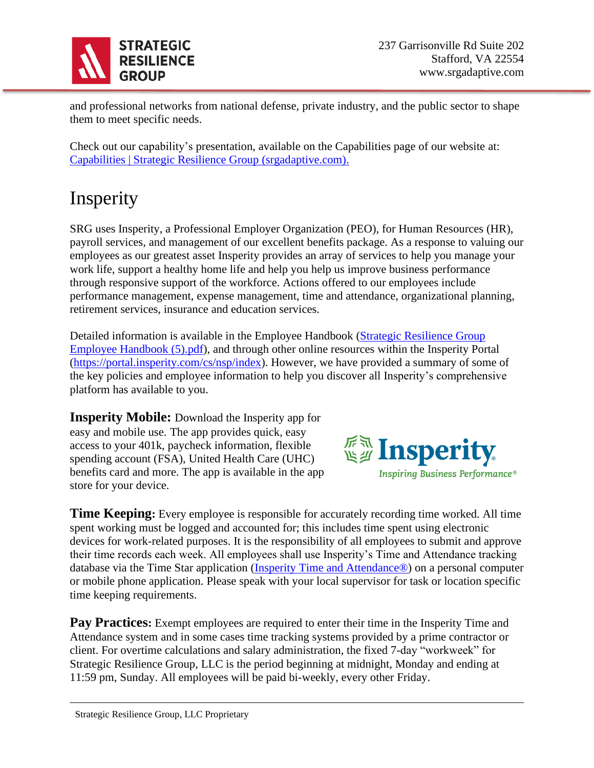

and professional networks from national defense, private industry, and the public sector to shape them to meet specific needs.

Check out our capability's presentation, available on the Capabilities page of our website at: [Capabilities | Strategic Resilience Group \(srgadaptive.com\).](https://www.srgadaptive.com/capabilities)

## **Insperity**

SRG uses Insperity, a Professional Employer Organization (PEO), for Human Resources (HR), payroll services, and management of our excellent benefits package. As a response to valuing our employees as our greatest asset Insperity provides an array of services to help you manage your work life, support a healthy home life and help you help us improve business performance through responsive support of the workforce. Actions offered to our employees include performance management, expense management, time and attendance, organizational planning, retirement services, insurance and education services.

Detailed information is available in the Employee Handbook [\(Strategic Resilience Group](file:///C:/Users/lcagu/Downloads/Strategic%20Resilience%20Group%20Employee%20Handbook%20(5).pdf)  [Employee Handbook \(5\).pdf\)](file:///C:/Users/lcagu/Downloads/Strategic%20Resilience%20Group%20Employee%20Handbook%20(5).pdf), and through other online resources within the Insperity Portal [\(https://portal.insperity.com/cs/nsp/index\)](https://portal.insperity.com/cs/nsp/index). However, we have provided a summary of some of the key policies and employee information to help you discover all Insperity's comprehensive platform has available to you.

**Insperity Mobile:** Download the Insperity app for easy and mobile use. The app provides quick, easy access to your 401k, paycheck information, flexible spending account (FSA), United Health Care (UHC) benefits card and more. The app is available in the app store for your device.



**Time Keeping**: Every employee is responsible for accurately recording time worked. All time spent working must be logged and accounted for; this includes time spent using electronic devices for work-related purposes. It is the responsibility of all employees to submit and approve their time records each week. All employees shall use Insperity's Time and Attendance tracking database via the Time Star application [\(Insperity Time and Attendance®\)](https://timestar.insperity.com/NSP2292/#-page=home&~state=WzEsNzksMSwiMjAyMiIsNCw4Niw2OTYyNDczOTQsMSwibG9hZF9wYWdlIl0) on a personal computer or mobile phone application. Please speak with your local supervisor for task or location specific time keeping requirements.

**Pay Practices:** Exempt employees are required to enter their time in the Insperity Time and Attendance system and in some cases time tracking systems provided by a prime contractor or client. For overtime calculations and salary administration, the fixed 7-day "workweek" for Strategic Resilience Group, LLC is the period beginning at midnight, Monday and ending at 11:59 pm, Sunday. All employees will be paid bi-weekly, every other Friday.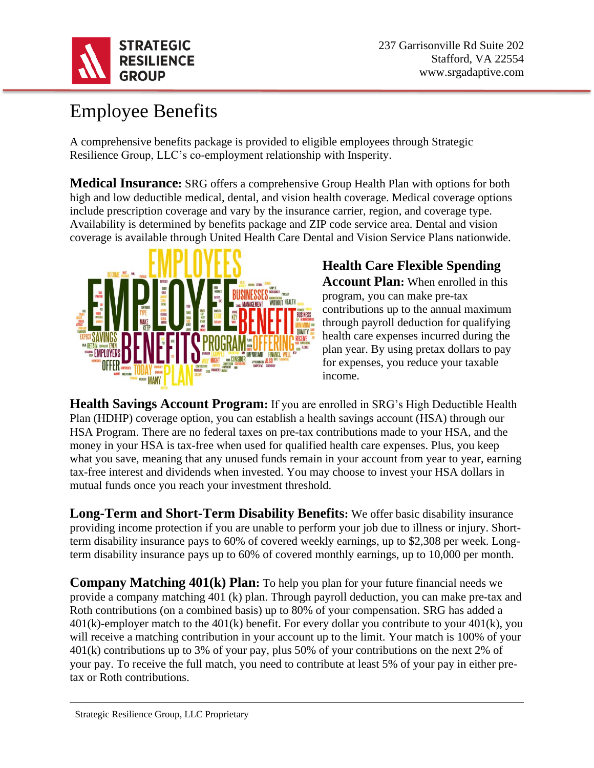

## Employee Benefits

A comprehensive benefits package is provided to eligible employees through Strategic Resilience Group, LLC's co-employment relationship with Insperity.

**Medical Insurance:** SRG offers a comprehensive Group Health Plan with options for both high and low deductible medical, dental, and vision health coverage. Medical coverage options include prescription coverage and vary by the insurance carrier, region, and coverage type. Availability is determined by benefits package and ZIP code service area. Dental and vision coverage is available through United Health Care Dental and Vision Service Plans nationwide.



# **Health Care Flexible Spending**

**Account Plan:** When enrolled in this program, you can make pre-tax contributions up to the annual maximum through payroll deduction for qualifying health care expenses incurred during the plan year. By using pretax dollars to pay for expenses, you reduce your taxable income.

**Health Savings Account Program:** If you are enrolled in SRG's High Deductible Health Plan (HDHP) coverage option, you can establish a health savings account (HSA) through our HSA Program. There are no federal taxes on pre-tax contributions made to your HSA, and the money in your HSA is tax-free when used for qualified health care expenses. Plus, you keep what you save, meaning that any unused funds remain in your account from year to year, earning tax-free interest and dividends when invested. You may choose to invest your HSA dollars in mutual funds once you reach your investment threshold.

**Long-Term and Short-Term Disability Benefits:** We offer basic disability insurance providing income protection if you are unable to perform your job due to illness or injury. Shortterm disability insurance pays to 60% of covered weekly earnings, up to \$2,308 per week. Longterm disability insurance pays up to 60% of covered monthly earnings, up to 10,000 per month.

**Company Matching 401(k) Plan:** To help you plan for your future financial needs we provide a company matching 401 (k) plan. Through payroll deduction, you can make pre-tax and Roth contributions (on a combined basis) up to 80% of your compensation. SRG has added a  $401(k)$ -employer match to the  $401(k)$  benefit. For every dollar you contribute to your  $401(k)$ , you will receive a matching contribution in your account up to the limit. Your match is 100% of your 401(k) contributions up to 3% of your pay, plus 50% of your contributions on the next 2% of your pay. To receive the full match, you need to contribute at least 5% of your pay in either pretax or Roth contributions.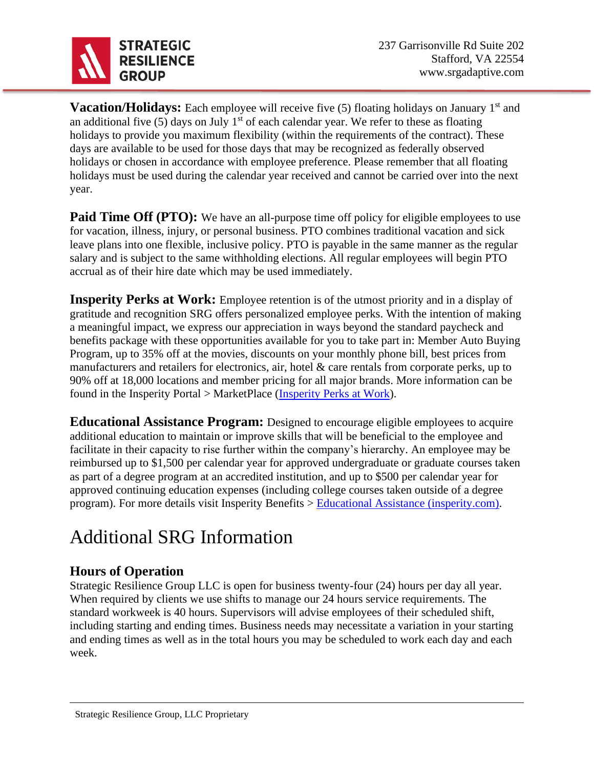

**Vacation/Holidays:** Each employee will receive five (5) floating holidays on January 1<sup>st</sup> and an additional five (5) days on July  $1<sup>st</sup>$  of each calendar year. We refer to these as floating holidays to provide you maximum flexibility (within the requirements of the contract). These days are available to be used for those days that may be recognized as federally observed holidays or chosen in accordance with employee preference. Please remember that all floating holidays must be used during the calendar year received and cannot be carried over into the next year.

**Paid Time Off (PTO):** We have an all-purpose time off policy for eligible employees to use for vacation, illness, injury, or personal business. PTO combines traditional vacation and sick leave plans into one flexible, inclusive policy. PTO is payable in the same manner as the regular salary and is subject to the same withholding elections. All regular employees will begin PTO accrual as of their hire date which may be used immediately.

**Insperity Perks at Work:** Employee retention is of the utmost priority and in a display of gratitude and recognition SRG offers personalized employee perks. With the intention of making a meaningful impact, we express our appreciation in ways beyond the standard paycheck and benefits package with these opportunities available for you to take part in: Member Auto Buying Program, up to 35% off at the movies, discounts on your monthly phone bill, best prices from manufacturers and retailers for electronics, air, hotel & care rentals from corporate perks, up to 90% off at 18,000 locations and member pricing for all major brands. More information can be found in the Insperity Portal > MarketPlace [\(Insperity Perks at Work\)](https://www.perksatwork.com/welcome/index/uSource/ssaml).

**Educational Assistance Program:** Designed to encourage eligible employees to acquire additional education to maintain or improve skills that will be beneficial to the employee and facilitate in their capacity to rise further within the company's hierarchy. An employee may be reimbursed up to \$1,500 per calendar year for approved undergraduate or graduate courses taken as part of a degree program at an accredited institution, and up to \$500 per calendar year for approved continuing education expenses (including college courses taken outside of a degree program). For more details visit Insperity Benefits > [Educational Assistance \(insperity.com\).](https://portal.insperity.com/cs/nsp/SitePage/educational_assistance)

## Additional SRG Information

#### **Hours of Operation**

Strategic Resilience Group LLC is open for business twenty-four (24) hours per day all year. When required by clients we use shifts to manage our 24 hours service requirements. The standard workweek is 40 hours. Supervisors will advise employees of their scheduled shift, including starting and ending times. Business needs may necessitate a variation in your starting and ending times as well as in the total hours you may be scheduled to work each day and each week.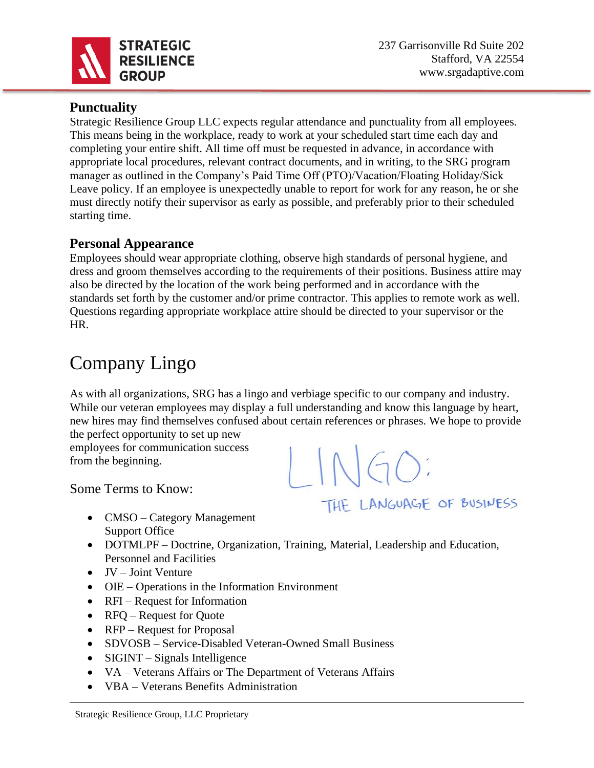

#### **Punctuality**

Strategic Resilience Group LLC expects regular attendance and punctuality from all employees. This means being in the workplace, ready to work at your scheduled start time each day and completing your entire shift. All time off must be requested in advance, in accordance with appropriate local procedures, relevant contract documents, and in writing, to the SRG program manager as outlined in the Company's Paid Time Off (PTO)/Vacation/Floating Holiday/Sick Leave policy. If an employee is unexpectedly unable to report for work for any reason, he or she must directly notify their supervisor as early as possible, and preferably prior to their scheduled starting time.

#### **Personal Appearance**

Employees should wear appropriate clothing, observe high standards of personal hygiene, and dress and groom themselves according to the requirements of their positions. Business attire may also be directed by the location of the work being performed and in accordance with the standards set forth by the customer and/or prime contractor. This applies to remote work as well. Questions regarding appropriate workplace attire should be directed to your supervisor or the HR.

## Company Lingo

As with all organizations, SRG has a lingo and verbiage specific to our company and industry. While our veteran employees may display a full understanding and know this language by heart, new hires may find themselves confused about certain references or phrases. We hope to provide the perfect opportunity to set up new

employees for communication success from the beginning.

Some Terms to Know:

- CMSO Category Management Support Office
- DOTMLPF Doctrine, Organization, Training, Material, Leadership and Education, Personnel and Facilities
- JV Joint Venture
- OIE Operations in the Information Environment
- RFI Request for Information
- RFO Request for Ouote
- RFP Request for Proposal
- SDVOSB Service-Disabled Veteran-Owned Small Business
- SIGINT Signals Intelligence
- VA Veterans Affairs or The Department of Veterans Affairs
- VBA Veterans Benefits Administration

THE LANGUAGE OF BUSINESS